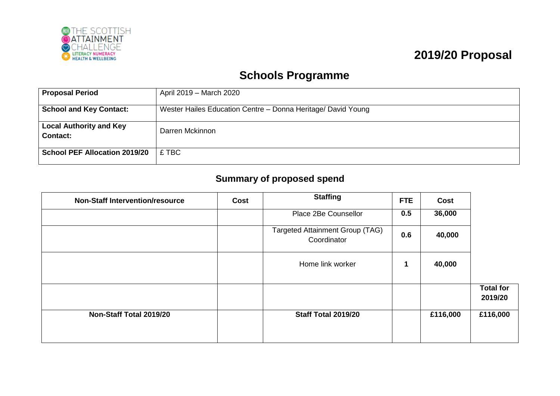

## **2019/20 Proposal**

## **Schools Programme**

| <b>Proposal Period</b>                            | April 2019 – March 2020                                      |
|---------------------------------------------------|--------------------------------------------------------------|
| <b>School and Key Contact:</b>                    | Wester Hailes Education Centre - Donna Heritage/ David Young |
| <b>Local Authority and Key</b><br><b>Contact:</b> | Darren Mckinnon                                              |
| <b>School PEF Allocation 2019/20</b>              | £ TBC                                                        |

## **Summary of proposed spend**

| <b>Non-Staff Intervention/resource</b> | Cost | <b>Staffing</b>                                       | <b>FTE</b>  | Cost     |                             |
|----------------------------------------|------|-------------------------------------------------------|-------------|----------|-----------------------------|
|                                        |      | Place 2Be Counsellor                                  | 0.5         | 36,000   |                             |
|                                        |      | <b>Targeted Attainment Group (TAG)</b><br>Coordinator | 0.6         | 40,000   |                             |
|                                        |      | Home link worker                                      | $\mathbf 1$ | 40,000   |                             |
|                                        |      |                                                       |             |          | <b>Total for</b><br>2019/20 |
| Non-Staff Total 2019/20                |      | Staff Total 2019/20                                   |             | £116,000 | £116,000                    |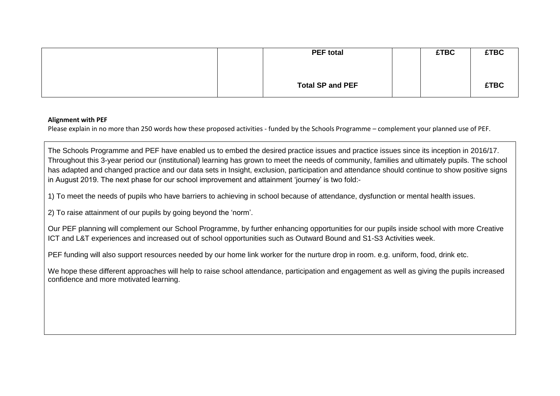| <b>PEF total</b>        | <b>£TBC</b> | <b>£TBC</b> |
|-------------------------|-------------|-------------|
|                         |             |             |
| <b>Total SP and PEF</b> |             | <b>£TBC</b> |

## **Alignment with PEF**

Please explain in no more than 250 words how these proposed activities - funded by the Schools Programme – complement your planned use of PEF.

The Schools Programme and PEF have enabled us to embed the desired practice issues and practice issues since its inception in 2016/17. Throughout this 3-year period our (institutional) learning has grown to meet the needs of community, families and ultimately pupils. The school has adapted and changed practice and our data sets in Insight, exclusion, participation and attendance should continue to show positive signs in August 2019. The next phase for our school improvement and attainment 'journey' is two fold:-

1) To meet the needs of pupils who have barriers to achieving in school because of attendance, dysfunction or mental health issues.

2) To raise attainment of our pupils by going beyond the 'norm'.

Our PEF planning will complement our School Programme, by further enhancing opportunities for our pupils inside school with more Creative ICT and L&T experiences and increased out of school opportunities such as Outward Bound and S1-S3 Activities week.

PEF funding will also support resources needed by our home link worker for the nurture drop in room. e.g. uniform, food, drink etc.

We hope these different approaches will help to raise school attendance, participation and engagement as well as giving the pupils increased confidence and more motivated learning.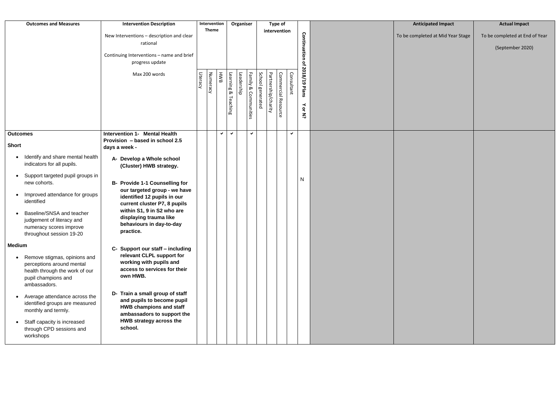| <b>Outcomes and Measures</b>                                                                                                                                                                                                                                                                                                                                                                                                                                                                                                                                                                                                                                                                                     | <b>Intervention Description</b><br>New Interventions - description and clear<br>rational<br>Continuing Interventions - name and brief<br>progress update<br>Max 200 words                                                                                                                                                                                                                                                                                                                                                                                                                                                                                                                                | Literacy | Intervention<br><b>Theme</b><br>Numeracy | HWB          | Learning &<br>Teaching | Organiser<br>Leadership | Family &<br>Communities | School generated | <b>Type of</b><br>intervention<br>Partnership/charity | Commercial Resource | Consultant | Continuation<br>of 2018/19<br>Plans<br>$\prec$<br>$\mathsf{Q}$<br>$\vec{z}$ | <b>Anticipated Impact</b><br>To be completed at Mid Year Stage | <b>Actual Impact</b><br>To be completed at End of Year<br>(September 2020) |
|------------------------------------------------------------------------------------------------------------------------------------------------------------------------------------------------------------------------------------------------------------------------------------------------------------------------------------------------------------------------------------------------------------------------------------------------------------------------------------------------------------------------------------------------------------------------------------------------------------------------------------------------------------------------------------------------------------------|----------------------------------------------------------------------------------------------------------------------------------------------------------------------------------------------------------------------------------------------------------------------------------------------------------------------------------------------------------------------------------------------------------------------------------------------------------------------------------------------------------------------------------------------------------------------------------------------------------------------------------------------------------------------------------------------------------|----------|------------------------------------------|--------------|------------------------|-------------------------|-------------------------|------------------|-------------------------------------------------------|---------------------|------------|-----------------------------------------------------------------------------|----------------------------------------------------------------|----------------------------------------------------------------------------|
| <b>Outcomes</b><br><b>Short</b><br>Identify and share mental health<br>$\bullet$<br>indicators for all pupils.<br>Support targeted pupil groups in<br>new cohorts.<br>Improved attendance for groups<br>$\bullet$<br>identified<br>Baseline/SNSA and teacher<br>judgement of literacy and<br>numeracy scores improve<br>throughout session 19-20<br><b>Medium</b><br>Remove stigmas, opinions and<br>$\bullet$<br>perceptions around mental<br>health through the work of our<br>pupil champions and<br>ambassadors.<br>Average attendance across the<br>$\bullet$<br>identified groups are measured<br>monthly and termly.<br>Staff capacity is increased<br>$\bullet$<br>through CPD sessions and<br>workshops | <b>Intervention 1- Mental Health</b><br>Provision - based in school 2.5<br>days a week -<br>A- Develop a Whole school<br>(Cluster) HWB strategy.<br><b>B- Provide 1-1 Counselling for</b><br>our targeted group - we have<br>identified 12 pupils in our<br>current cluster P7, 8 pupils<br>within S1, 9 in S2 who are<br>displaying trauma like<br>behaviours in day-to-day<br>practice.<br>C- Support our staff - including<br>relevant CLPL support for<br>working with pupils and<br>access to services for their<br>own HWB.<br>D- Train a small group of staff<br>and pupils to become pupil<br><b>HWB champions and staff</b><br>ambassadors to support the<br>HWB strategy across the<br>school. |          |                                          | $\checkmark$ | $\checkmark$           |                         | ✓                       |                  |                                                       |                     | ✓          | $\mathsf{N}$                                                                |                                                                |                                                                            |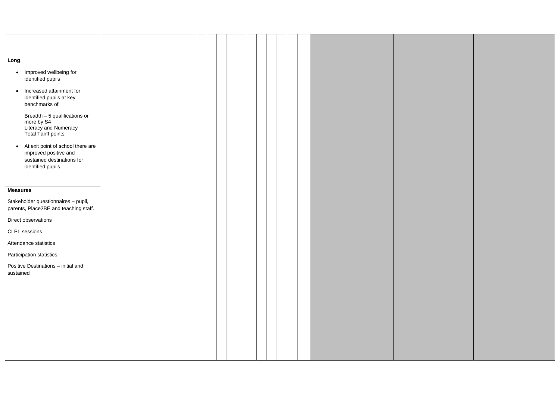| Long            |                                                                                                    |
|-----------------|----------------------------------------------------------------------------------------------------|
| $\bullet$       | Improved wellbeing for                                                                             |
|                 | identified pupils                                                                                  |
| $\bullet$       | Increased attainment for<br>identified pupils at key<br>benchmarks of                              |
|                 | Breadth - 5 qualifications or<br>more by S4<br>Literacy and Numeracy<br><b>Total Tariff points</b> |
| $\bullet$       | At exit point of school there are<br>improved positive and<br>sustained destinations for           |
|                 | identified pupils.                                                                                 |
| <b>Measures</b> |                                                                                                    |
|                 | Stakeholder questionnaires - pupil,<br>parents, Place2BE and teaching staff.                       |
|                 | Direct observations                                                                                |
|                 | <b>CLPL</b> sessions                                                                               |
|                 | Attendance statistics                                                                              |
|                 | Participation statistics                                                                           |
| sustained       | Positive Destinations - initial and                                                                |
|                 |                                                                                                    |
|                 |                                                                                                    |
|                 |                                                                                                    |
|                 |                                                                                                    |
|                 |                                                                                                    |
|                 |                                                                                                    |
|                 |                                                                                                    |
|                 |                                                                                                    |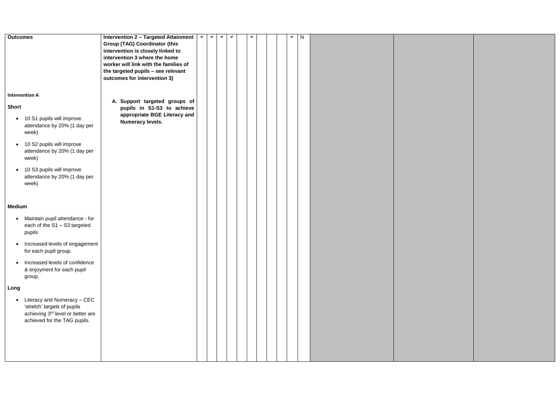| <b>Outcomes</b>                                                                                                                                                                                                                                                                                                                                                                                                   | <b>Intervention 2 - Targeted Attainment</b><br><b>Group (TAG) Coordinator (this</b><br>intervention is closely linked to<br>intervention 3 where the home<br>worker will link with the families of<br>the targeted pupils - see relevant<br>outcomes for intervention 3) | $\checkmark$ | $\checkmark$ | ✔ | ✔ | ✔ |  | ✔ | N |  |
|-------------------------------------------------------------------------------------------------------------------------------------------------------------------------------------------------------------------------------------------------------------------------------------------------------------------------------------------------------------------------------------------------------------------|--------------------------------------------------------------------------------------------------------------------------------------------------------------------------------------------------------------------------------------------------------------------------|--------------|--------------|---|---|---|--|---|---|--|
| <b>Intervention A</b><br><b>Short</b><br>• 10 S1 pupils will improve<br>attendance by 20% (1 day per<br>week)<br>10 S2 pupils will improve<br>$\bullet$<br>attendance by 20% (1 day per<br>week)<br>10 S3 pupils will improve<br>$\bullet$<br>attendance by 20% (1 day per<br>week)                                                                                                                               | A. Support targeted groups of<br>pupils in S1-S3 to achieve<br>appropriate BGE Literacy and<br>Numeracy levels.                                                                                                                                                          |              |              |   |   |   |  |   |   |  |
| <b>Medium</b><br>Maintain pupil attendance - for<br>$\bullet$<br>each of the S1 - S3 targeted<br>pupils<br>Increased levels of engagement<br>for each pupil group.<br>Increased levels of confidence<br>$\bullet$<br>& enjoyment for each pupil<br>group.<br>Long<br>Literacy and Numeracy - CEC<br>$\bullet$<br>'stretch' targets of pupils<br>achieving 3rd level or better are<br>achieved for the TAG pupils. |                                                                                                                                                                                                                                                                          |              |              |   |   |   |  |   |   |  |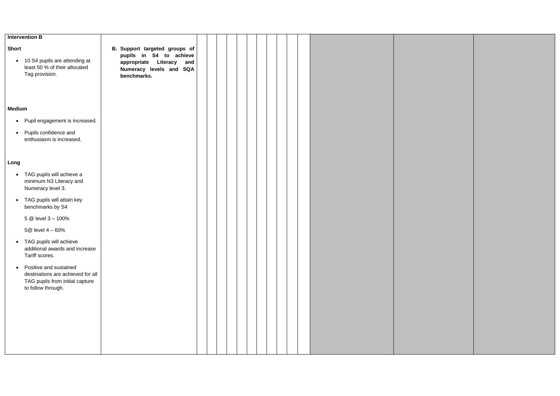|                           | <b>Intervention B</b>                                                                                                |                                                                                                                                      |  |  |  |  |  |  |  |
|---------------------------|----------------------------------------------------------------------------------------------------------------------|--------------------------------------------------------------------------------------------------------------------------------------|--|--|--|--|--|--|--|
| <b>Short</b><br>$\bullet$ | 10 S4 pupils are attending at<br>least 50 % of their allocated<br>Tag provision.                                     | B. Support targeted groups of<br>pupils in S4 to achieve<br>appropriate<br>Literacy<br>and<br>Numeracy levels and SQA<br>benchmarks. |  |  |  |  |  |  |  |
| <b>Medium</b>             |                                                                                                                      |                                                                                                                                      |  |  |  |  |  |  |  |
| $\bullet$                 | Pupil engagement is increased.                                                                                       |                                                                                                                                      |  |  |  |  |  |  |  |
| $\bullet$                 | Pupils confidence and<br>enthusiasm is increased.                                                                    |                                                                                                                                      |  |  |  |  |  |  |  |
| Long                      |                                                                                                                      |                                                                                                                                      |  |  |  |  |  |  |  |
| $\bullet$                 | TAG pupils will achieve a<br>minimum N3 Literacy and<br>Numeracy level 3.                                            |                                                                                                                                      |  |  |  |  |  |  |  |
| $\bullet$                 | TAG pupils will attain key<br>benchmarks by S4                                                                       |                                                                                                                                      |  |  |  |  |  |  |  |
|                           | 5 @ level 3 - 100%                                                                                                   |                                                                                                                                      |  |  |  |  |  |  |  |
|                           | 5@ level 4 - 60%                                                                                                     |                                                                                                                                      |  |  |  |  |  |  |  |
| $\bullet$                 | TAG pupils will achieve<br>additional awards and increase<br>Tariff scores.                                          |                                                                                                                                      |  |  |  |  |  |  |  |
| $\bullet$                 | Positive and sustained<br>destinations are achieved for all<br>TAG pupils from initial capture<br>to follow through. |                                                                                                                                      |  |  |  |  |  |  |  |
|                           |                                                                                                                      |                                                                                                                                      |  |  |  |  |  |  |  |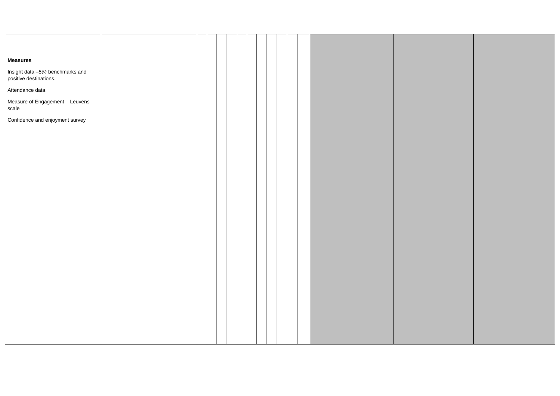| <b>Measures</b>                                           |  |  |  |  |  |  |  |
|-----------------------------------------------------------|--|--|--|--|--|--|--|
| Insight data -5@ benchmarks and<br>positive destinations. |  |  |  |  |  |  |  |
| Attendance data                                           |  |  |  |  |  |  |  |
| Measure of Engagement - Leuvens<br>scale                  |  |  |  |  |  |  |  |
| Confidence and enjoyment survey                           |  |  |  |  |  |  |  |
|                                                           |  |  |  |  |  |  |  |
|                                                           |  |  |  |  |  |  |  |
|                                                           |  |  |  |  |  |  |  |
|                                                           |  |  |  |  |  |  |  |
|                                                           |  |  |  |  |  |  |  |
|                                                           |  |  |  |  |  |  |  |
|                                                           |  |  |  |  |  |  |  |
|                                                           |  |  |  |  |  |  |  |
|                                                           |  |  |  |  |  |  |  |
|                                                           |  |  |  |  |  |  |  |
|                                                           |  |  |  |  |  |  |  |
|                                                           |  |  |  |  |  |  |  |
|                                                           |  |  |  |  |  |  |  |
|                                                           |  |  |  |  |  |  |  |
|                                                           |  |  |  |  |  |  |  |
|                                                           |  |  |  |  |  |  |  |
|                                                           |  |  |  |  |  |  |  |
|                                                           |  |  |  |  |  |  |  |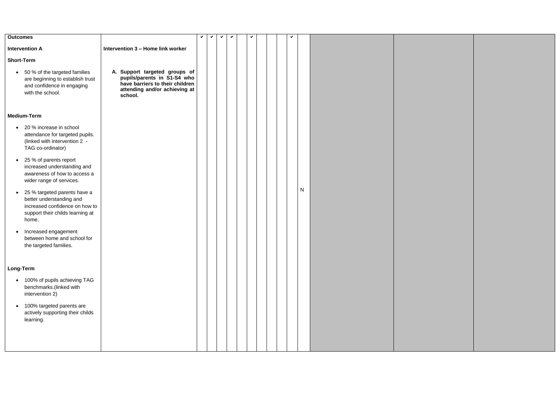| <b>Outcomes</b>                                                                                                                                      |                                                                                                                                             | ✔ | ✔ | ✔ | ✔ | ✔ |  | ✓ |   |  |
|------------------------------------------------------------------------------------------------------------------------------------------------------|---------------------------------------------------------------------------------------------------------------------------------------------|---|---|---|---|---|--|---|---|--|
| <b>Intervention A</b>                                                                                                                                | Intervention 3 - Home link worker                                                                                                           |   |   |   |   |   |  |   |   |  |
| <b>Short-Term</b>                                                                                                                                    |                                                                                                                                             |   |   |   |   |   |  |   |   |  |
| 50 % of the targeted families<br>$\bullet$<br>are beginning to establish trust<br>and confidence in engaging<br>with the school.                     | A. Support targeted groups of<br>pupils/parents in S1-S4 who<br>have barriers to their children<br>attending and/or achieving at<br>school. |   |   |   |   |   |  |   |   |  |
| <b>Medium-Term</b>                                                                                                                                   |                                                                                                                                             |   |   |   |   |   |  |   |   |  |
| 20 % increase in school<br>$\bullet$<br>attendance for targeted pupils.<br>(linked with intervention 2 -<br>TAG co-ordinator)                        |                                                                                                                                             |   |   |   |   |   |  |   |   |  |
| 25 % of parents report<br>$\bullet$<br>increased understanding and<br>awareness of how to access a<br>wider range of services.                       |                                                                                                                                             |   |   |   |   |   |  |   |   |  |
| 25 % targeted parents have a<br>$\bullet$<br>better understanding and<br>increased confidence on how to<br>support their childs learning at<br>home. |                                                                                                                                             |   |   |   |   |   |  |   | N |  |
| Increased engagement<br>between home and school for<br>the targeted families.                                                                        |                                                                                                                                             |   |   |   |   |   |  |   |   |  |
| Long-Term                                                                                                                                            |                                                                                                                                             |   |   |   |   |   |  |   |   |  |
| 100% of pupils achieving TAG<br>$\bullet$<br>benchmarks.(linked with<br>intervention 2)                                                              |                                                                                                                                             |   |   |   |   |   |  |   |   |  |
| 100% targeted parents are<br>٠<br>actively supporting their childs<br>learning.                                                                      |                                                                                                                                             |   |   |   |   |   |  |   |   |  |
|                                                                                                                                                      |                                                                                                                                             |   |   |   |   |   |  |   |   |  |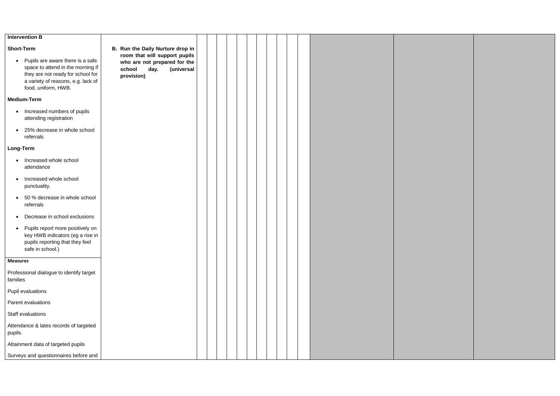| <b>Intervention B</b>                                                                                                                                                                |                                                                                                             |  |  |  |  |  |
|--------------------------------------------------------------------------------------------------------------------------------------------------------------------------------------|-------------------------------------------------------------------------------------------------------------|--|--|--|--|--|
| <b>Short-Term</b>                                                                                                                                                                    | B. Run the Daily Nurture drop in                                                                            |  |  |  |  |  |
| Pupils are aware there is a safe<br>$\bullet$<br>space to attend in the morning if<br>they are not ready for school for<br>a variety of reasons, e.g. lack of<br>food, uniform, HWB. | room that will support pupils<br>who are not prepared for the<br>day.<br>(universal<br>school<br>provision) |  |  |  |  |  |
| <b>Medium-Term</b>                                                                                                                                                                   |                                                                                                             |  |  |  |  |  |
| Increased numbers of pupils<br>$\bullet$<br>attending registration                                                                                                                   |                                                                                                             |  |  |  |  |  |
| 25% decrease in whole school<br>referrals                                                                                                                                            |                                                                                                             |  |  |  |  |  |
| <b>Long-Term</b>                                                                                                                                                                     |                                                                                                             |  |  |  |  |  |
| Increased whole school<br>attendance                                                                                                                                                 |                                                                                                             |  |  |  |  |  |
| Increased whole school<br>punctuality.                                                                                                                                               |                                                                                                             |  |  |  |  |  |
| 50 % decrease in whole school<br>referrals                                                                                                                                           |                                                                                                             |  |  |  |  |  |
| Decrease in school exclusions                                                                                                                                                        |                                                                                                             |  |  |  |  |  |
| Pupils report more positively on<br>key HWB indicators (eg a rise in<br>pupils reporting that they feel<br>safe in school.)                                                          |                                                                                                             |  |  |  |  |  |
| <b>Measures</b>                                                                                                                                                                      |                                                                                                             |  |  |  |  |  |
| Professional dialogue to identify target<br>families                                                                                                                                 |                                                                                                             |  |  |  |  |  |
| Pupil evaluations                                                                                                                                                                    |                                                                                                             |  |  |  |  |  |
| Parent evaluations                                                                                                                                                                   |                                                                                                             |  |  |  |  |  |
| Staff evaluations                                                                                                                                                                    |                                                                                                             |  |  |  |  |  |
| Attendance & lates records of targeted<br>pupils.                                                                                                                                    |                                                                                                             |  |  |  |  |  |
| Attainment data of targeted pupils                                                                                                                                                   |                                                                                                             |  |  |  |  |  |
| Surveys and questionnaires before and                                                                                                                                                |                                                                                                             |  |  |  |  |  |